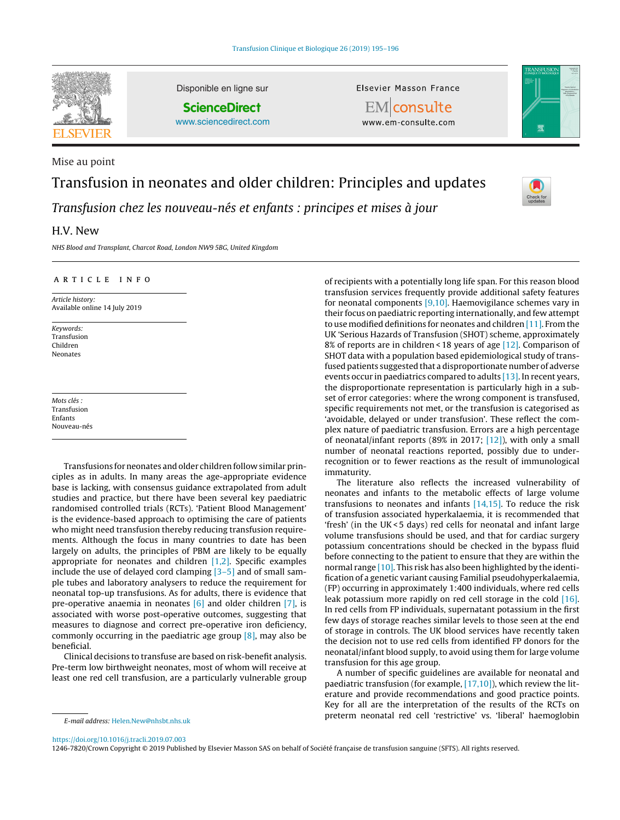

Mise au point

Disponible en ligne sur

**ScienceDirect** [www.sciencedirect.com](http://www.sciencedirect.com/science/journal/12467820) Elsevier Masson France





www.em-consulte.com

# Transfusion in neonates and older children: Principles and updates

Transfusion chez les nouveau-nés et enfants : principes et mises à jour

# H.V. New

NHS Blood and Transplant, Charcot Road, London NW9 5BG, United Kingdom

## a r t i c l e i n f o

Article history: Available online 14 July 2019

Keywords: Transfusion Children Neonates

Mots clés : Transfusion Enfants Nouveau-nés

Transfusions for neonates and older children follow similar principles as in adults. In many areas the age-appropriate evidence base is lacking, with consensus guidance extrapolated from adult studies and practice, but there have been several key paediatric randomised controlled trials (RCTs). 'Patient Blood Management' is the evidence-based approach to optimising the care of patients who might need transfusion thereby reducing transfusion requirements. Although the focus in many countries to date has been largely on adults, the principles of PBM are likely to be equally appropriate for neonates and children  $[1,2]$ . Specific examples include the use of delayed cord clamping  $[3-5]$  and of small sample tubes and laboratory analysers to reduce the requirement for neonatal top-up transfusions. As for adults, there is evidence that pre-operative anaemia in neonates  $[6]$  and older children  $[7]$ , is associated with worse post-operative outcomes, suggesting that measures to diagnose and correct pre-operative iron deficiency, commonly occurring in the paediatric age group  $[8]$ , may also be beneficial.

Clinical decisions to transfuse are based on risk-benefit analysis. Pre-term low birthweight neonates, most of whom will receive at least one red cell transfusion, are a particularly vulnerable group

of recipients with a potentially long life span. For this reason blood transfusion services frequently provide additional safety features for neonatal components [\[9,10\].](#page-1-0) Haemovigilance schemes vary in their focus on paediatric reporting internationally, and few attempt to use modified definitions for neonates and children [\[11\].](#page-1-0) From the UK 'Serious Hazards of Transfusion (SHOT) scheme, approximately 8% of reports are in children < 18 years of age [\[12\].](#page-1-0) Comparison of SHOT data with a population based epidemiological study of transfused patients suggested that a disproportionate number of adverse events occur in paediatrics compared to adults [\[13\].](#page-1-0) In recent years, the disproportionate representation is particularly high in a subset of error categories: where the wrong component is transfused, specific requirements not met, or the transfusion is categorised as 'avoidable, delayed or under transfusion'. These reflect the complex nature of paediatric transfusion. Errors are a high percentage of neonatal/infant reports (89% in 2017; [\[12\]\),](#page-1-0) with only a small number of neonatal reactions reported, possibly due to underrecognition or to fewer reactions as the result of immunological immaturity.

The literature also reflects the increased vulnerability of neonates and infants to the metabolic effects of large volume transfusions to neonates and infants [\[14,15\].](#page-1-0) To reduce the risk of transfusion associated hyperkalaemia, it is recommended that 'fresh' (in the UK< 5 days) red cells for neonatal and infant large volume transfusions should be used, and that for cardiac surgery potassium concentrations should be checked in the bypass fluid before connecting to the patient to ensure that they are within the normal range [\[10\].](#page-1-0) This risk has also been highlighted by the identification of a genetic variant causing Familial pseudohyperkalaemia, (FP) occurring in approximately 1:400 individuals, where red cells leak potassium more rapidly on red cell storage in the cold [\[16\].](#page-1-0) In red cells from FP individuals, supernatant potassium in the first few days of storage reaches similar levels to those seen at the end of storage in controls. The UK blood services have recently taken the decision not to use red cells from identified FP donors for the neonatal/infant blood supply, to avoid using them for large volume transfusion for this age group.

A number of specific guidelines are available for neonatal and paediatric transfusion (for example, [\[17,10\]\),](#page-1-0) which review the literature and provide recommendations and good practice points. Key for all are the interpretation of the results of the RCTs on preterm neonatal red cell 'restrictive' vs. 'liberal' haemoglobin

1246-7820/Crown Copyright © 2019 Published by Elsevier Masson SAS on behalf of Société française de transfusion sanguine (SFTS). All rights reserved.

E-mail address: [Helen.New@nhsbt.nhs.uk](mailto:Helen.New@nhsbt.nhs.uk)

<https://doi.org/10.1016/j.tracli.2019.07.003>